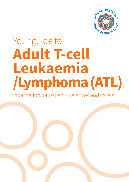

# Your guide to **Adult T-cell Leukaemia /Lymphoma (ATL)**

Information for patients, relatives and carers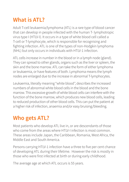## **What is ATL?**

Adult T-cell leukaemia/lymphoma (ATL) is a rare type of blood cancer that can develop in people infected with the human T- lymphotropic virus type I (HTLV-I). It occurs in a type of white blood cell called a T-cell or T-lymphocyte, which is responsible for recognising and fighting infection. ATL is one of the types of non-Hodgkin lymphoma (NHL) but only occurs in individuals with HTLV-1 infection.

ATL cells increase in number in the blood or in a lymph node (gland). They can spread to other glands, organs such as the liver or spleen, the skin and the bone marrow. ATL can take the form of either lymphoma or leukaemia, or have features of both. Lymphoma means the lymph nodes are enlarged due to the increase in abnormal T-lymphocytes.

Leukaemia, literally meaning "white blood'', describes the increased numbers of abnormal white blood cells in the blood and the bone marrow. This excessive growth of white blood cells can interfere with the function of the bone marrow, which produces new blood cells, leading to reduced production of other blood cells. This can put the patient at a higher risk of infection, anaemia and/or easy bruising/bleeding.

### **Who gets ATL?**

Most patients who develop ATL live in, or are descendants of those who come from the areas where HTLV-I infection is most common. These areas include Japan, the Caribbean, Romania, West Africa, the Middle East and South America.

Persons carrying HTLV-1 infection have a three to five per cent chance of developing ATL during their lifetime. However the risk is mostly in those who were first infected at birth or during early childhood.

The average age at which ATL occurs is 55 years.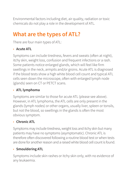Environmental factors including diet, air quality, radiation or toxic chemicals do not play a role in the development of ATL.

## **What are the types of ATL?**

There are four main types of ATL:

### • **Acute ATL**

Symptoms can include tiredness, fevers and sweats (often at night), itchy skin, weight loss, confusion and frequent infections or a rash. Some patients notice enlarged glands, which will feel like firm swellings in the neck, armpits and/or groins. Acute ATL is diagnosed if the blood tests show a high white blood cell count and typical ATL cells seen down the microscope, often with enlarged lymph node (glands) seen on CT or PETCT scans.

#### • **ATL lymphoma**

Symptoms are similar to those for acute ATL (please see above). However, in ATL lymphoma, the ATL cells are only present in the glands (lymph nodes) or other organs, usually liver, spleen or tonsils, but not the blood, so swellings in the glands is often the most obvious symptom.

### • **Chronic ATL**

Symptoms may include tiredness, weight loss and itchy skin but many patients may have no symptoms (asymptomatic). Chronic ATL is therefore often discovered following a routine blood test or when tests are done for another reason and a raised white blood cell count is found.

### • **Smouldering ATL**

Symptoms include skin rashes or itchy skin only, with no evidence of any leukaemia.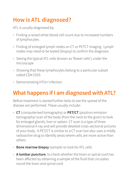# **How is ATL diagnosed?**

ATL is usually diagnosed by:

- Finding a raised white blood cell count due to increased numbers of lymphocytes
- Finding of enlarged lymph nodes on CT or PETCT imaging. Lymph nodes may need to be tested (biopsy) to confirm the diagnosis
- Seeing the typical ATL cells (known as 'flower cells') under the microscope
- Showing that these lymphocytes belong to a particular subset called CD4 CD25
- Demonstrating HTLV-I infection

# **What happens if I am diagnosed with ATL?**

Before treatment is started further tests to see the spread of the disease are performed. These usually include:

- **CT** (computerised tomography) or **PET/CT** (positron emission tomography) scan of the body (from the neck to the groin) to look for enlarged glands, liver or spleen. CT scan is a type of threedimensional X-ray and will provide detailed cross-sectional pictures of your body. A PET/CT is similar to a CT scan but also uses a mildly radioactive drug to identify areas where cells are more active than others
- **Bone marrow biopsy** (sample) to look for ATL cells
- **A lumbar puncture**, to check whether the brain or spinal cord has been affected by obtaining a sample of the fluid that circulates round the brain and spinal cord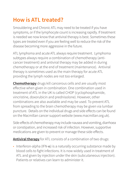# **How is ATL treated?**

Smouldering and Chronic ATL may need to be treated if you have symptoms, or if the lymphocyte count is increasing rapidly. If treatment is needed we now know that antiviral therapy is best. Sometimes these types are treated even if you are feeling well to reduce the risk of the disease becoming more aggressive in the future.

ATL lymphoma and acute ATL always require treatment. Lymphoma subtypes always require a combination of chemotherapy (anticancer treatment) and antiviral therapy may be added in during chemotherapy or at the end of treatment (maintenance). Antiviral therapy is sometimes used as the main therapy for acute ATL providing the lymph nodes are not too enlarged.

**Chemotherapy** drugs kill cancerous cells and are usually most effective when given in combination. One combination used in treatment of ATL in the UK is called CHOP (cyclophosphamide, vincristine, doxorubicin and prednisolone). However, other combinations are also available and may be used. To prevent ATL from spreading to the brain chemotherapy may be given via lumbar puncture. Details on the individual drugs and side effects can be found on the Macmillan cancer support website (www.macmillan.org.uk).

Side-effects of chemotherapy may include nausea and vomiting, diarrhoea or constipation, and increased risk of infection. However, supportive medications are given to prevent or manage these side-effects.

**Antiviral therapy** for ATL consists of a combination of two drugs:

• Interferon-alpha (IFN- $\alpha$ ) is a naturally occurring substance made by blood cells to fight infections. It is now widely used in treatment of ATL and given by injection under the skin (subcutaneous injection). Patients or relatives can learn to administer it.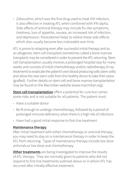• Zidovudine, which was the first drug used to treat HIV infection, is also effective in treating ATL when combined with IFN-alpha. Side-effects of antiviral therapy may include flu-like symptoms, tiredness, loss of appetite, nausea, an increased risk of infection, and depression. Paracetamol helps to relieve these side-effects which also usually become less noticeable over time.

ATL is prone to relapsing even after successful initial therapy and so an allogeneic stem cell transplant (sometimes called a bone marrow transplant) may be considered in order to prevent the ATL returning. Stem cell transplantation usually involves a prolonged hospital stay for many weeks and consists of initial chemotherapy and/or radiotherapy (X-ray treatment) to eradicate the patient's own blood producing cells (stem cells) and allow the new stem cells from the healthy donor to take their place (grafted). Further details on stem cell and bone marrow transplantation may be found on the Macmillan website (www.macmillan.org).

**Stem cell transplantation** offers a potential for cure but carries some risks and is not suitable for all patients. The patient must:

- Have a suitable donor
- Be fit enough to undergo chemotherapy, followed by a period of prolonged immune deficiency when there is a high risk of infections
- Have had a good initial response to first-line treatment

#### **Maintenance therapy**

After initial treatment with either chemotherapy or antiviral therapy, you may need to stay on a maintenance therapy in order to keep the ATL from returning. Types of maintenance therapy include low dose antivirals or low dose oral chemotherapy.

**Other treatments** are being investigated to improve the results of ATL therapy. They are normally given to patients who did not respond to first line treatments outlined above or in whom ATL has recurred after initially effective treatment.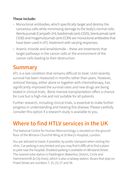#### **These include:**

- Monoclonal antibodies, which specifically target and destroy the cancerous cells while minimising damage to the body's normal cells. Alemtuzumab (Campath-1H), basiliximab (anti-CD25), brentuximab (anti CD30) and mogamulizumab (anti-CCR4) are monoclonal antibodies that have been used in ATL treatment with varying responses.
- Arsenic trioxide and lenalidomide these are treatments that target pathways in the cancer cells or the environment of the cancer cells leading to their destruction.

### **Summary**

ATL is a rare condition that remains difficult to treat. Until recently survival has been measured in months rather than years. However, antiviral therapy, either alone or together with chemotherapy, has significantly improved the survival rates and new drugs are being tested in clinical trials. Bone marrow transplantation offers a chance for cure but is high-risk and not suitable for all patients.

Further research, including clinical trials, is essential to make further progress in understanding and treating this disease. Please carefully consider this option if a research study is available to you.

# **Where to find HTLV services in the UK**

The National Centre for Human Retrcovirology is situated on the ground floor of the Winston Churchill Wing at St Mary's Hospital, London.

You are advised to travel, if possible, by public transport when visiting the clinic. Car parking is very limited and you may find it difficult to find a place to park near the hospital. Disabled parking is available on Winsland Street. The nearest tube station is Paddington (Bakerloo, District, Circle and Hammersmith & City lines), which is also a railway station. Buses that stop on Praed Street are numbers 7, 15, 23, 27 and 36.